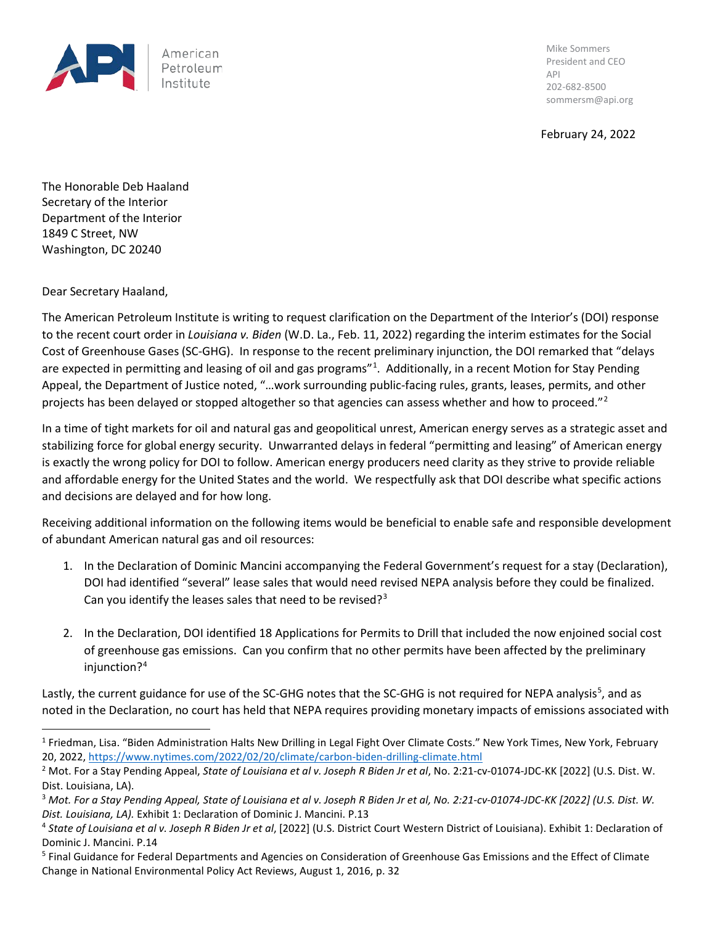

Mike Sommers President and CEO API 202-682-8500 sommersm@api.org

February 24, 2022

The Honorable Deb Haaland Secretary of the Interior Department of the Interior 1849 C Street, NW Washington, DC 20240

Dear Secretary Haaland,

The American Petroleum Institute is writing to request clarification on the Department of the Interior's (DOI) response to the recent court order in *Louisiana v. Biden* (W.D. La., Feb. 11, 2022) regarding the interim estimates for the Social Cost of Greenhouse Gases (SC-GHG). In response to the recent preliminary injunction, the DOI remarked that "delays are expected in permitting and leasing of oil and gas programs"<sup>[1](#page-0-0)</sup>. Additionally, in a recent Motion for Stay Pending Appeal, the Department of Justice noted, "…work surrounding public-facing rules, grants, leases, permits, and other projects has been delayed or stopped altogether so that agencies can assess whether and how to proceed."<sup>[2](#page-0-1)</sup>

In a time of tight markets for oil and natural gas and geopolitical unrest, American energy serves as a strategic asset and stabilizing force for global energy security. Unwarranted delays in federal "permitting and leasing" of American energy is exactly the wrong policy for DOI to follow. American energy producers need clarity as they strive to provide reliable and affordable energy for the United States and the world. We respectfully ask that DOI describe what specific actions and decisions are delayed and for how long.

Receiving additional information on the following items would be beneficial to enable safe and responsible development of abundant American natural gas and oil resources:

- 1. In the Declaration of Dominic Mancini accompanying the Federal Government's request for a stay (Declaration), DOI had identified "several" lease sales that would need revised NEPA analysis before they could be finalized. Can you identify the leases sales that need to be revised? $3^3$  $3^3$
- 2. In the Declaration, DOI identified 18 Applications for Permits to Drill that included the now enjoined social cost of greenhouse gas emissions. Can you confirm that no other permits have been affected by the preliminary injunction?[4](#page-0-3)

Lastly, the current guidance for use of the SC-GHG notes that the SC-GHG is not required for NEPA analysis<sup>[5](#page-0-4)</sup>, and as noted in the Declaration, no court has held that NEPA requires providing monetary impacts of emissions associated with

<span id="page-0-0"></span><sup>&</sup>lt;sup>1</sup> Friedman, Lisa. "Biden Administration Halts New Drilling in Legal Fight Over Climate Costs." New York Times, New York, February 20, 2022,<https://www.nytimes.com/2022/02/20/climate/carbon-biden-drilling-climate.html>

<span id="page-0-1"></span><sup>&</sup>lt;sup>2</sup> Mot. For a Stay Pending Appeal, *State of Louisiana et al v. Joseph R Biden Jr et al*, No. 2:21-cv-01074-JDC-KK [2022] (U.S. Dist. W. Dist. Louisiana, LA).

<span id="page-0-2"></span><sup>3</sup> *Mot. For a Stay Pending Appeal, State of Louisiana et al v. Joseph R Biden Jr et al, No. 2:21-cv-01074-JDC-KK [2022] (U.S. Dist. W. Dist. Louisiana, LA).* Exhibit 1: Declaration of Dominic J. Mancini. P.13

<span id="page-0-3"></span><sup>4</sup> *State of Louisiana et al v. Joseph R Biden Jr et al*, [2022] (U.S. District Court Western District of Louisiana). Exhibit 1: Declaration of Dominic J. Mancini. P.14

<span id="page-0-4"></span><sup>5</sup> Final Guidance for Federal Departments and Agencies on Consideration of Greenhouse Gas Emissions and the Effect of Climate Change in National Environmental Policy Act Reviews, August 1, 2016, p. 32